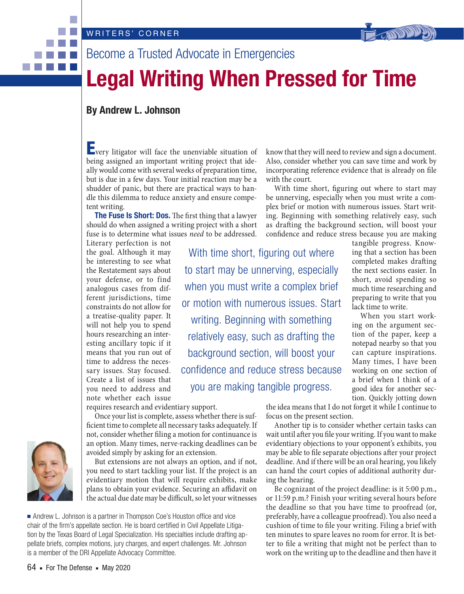



# Become a Trusted Advocate in Emergencies

# **Legal Writing When Pressed for Time**

## **By Andrew L. Johnson**

**E**very litigator will face the unenviable situation of being assigned an important writing project that ideally would come with several weeks of preparation time, but is due in a few days. Your initial reaction may be a shudder of panic, but there are practical ways to handle this dilemma to reduce anxiety and ensure competent writing.

**The Fuse Is Short: Dos.** The first thing that a lawyer should do when assigned a writing project with a short fuse is to determine what issues need to be addressed.

Literary perfection is not the goal. Although it may be interesting to see what the Restatement says about your defense, or to find analogous cases from different jurisdictions, time constraints do not allow for a treatise-quality paper. It will not help you to spend hours researching an interesting ancillary topic if it means that you run out of time to address the necessary issues. Stay focused. Create a list of issues that you need to address and note whether each issue

With time short, figuring out where to start may be unnerving, especially when you must write a complex brief or motion with numerous issues. Start writing. Beginning with something relatively easy, such as drafting the background section, will boost your confidence and reduce stress because you are making tangible progress.

with the court.

confidence and reduce stress because you are making tangible progress. Knowing that a section has been completed makes drafting the next sections easier. In short, avoid spending so much time researching and preparing to write that you lack time to write.

> When you start working on the argument section of the paper, keep a notepad nearby so that you can capture inspirations. Many times, I have been working on one section of a brief when I think of a good idea for another section. Quickly jotting down

requires research and evidentiary support.

Once your list is complete, assess whether there is sufficient time to complete all necessary tasks adequately. If not, consider whether filing a motion for continuance is an option. Many times, nerve-racking deadlines can be avoided simply by asking for an extension.

But extensions are not always an option, and if not, you need to start tackling your list. If the project is an evidentiary motion that will require exhibits, make plans to obtain your evidence. Securing an affidavit on the actual due date may be difficult, so let your witnesses

■ Andrew L. Johnson is a partner in Thompson Coe's Houston office and vice chair of the firm's appellate section. He is board certified in Civil Appellate Litigation by the Texas Board of Legal Specialization. His specialties include drafting appellate briefs, complex motions, jury charges, and expert challenges. Mr. Johnson is a member of the DRI Appellate Advocacy Committee.

the idea means that I do not forget it while I continue to focus on the present section.

know that they will need to review and sign a document. Also, consider whether you can save time and work by incorporating reference evidence that is already on file

With time short, figuring out where to start may be unnerving, especially when you must write a complex brief or motion with numerous issues. Start writing. Beginning with something relatively easy, such as drafting the background section, will boost your

Another tip is to consider whether certain tasks can wait until after you file your writing. If you want to make evidentiary objections to your opponent's exhibits, you may be able to file separate objections after your project deadline. And if there will be an oral hearing, you likely can hand the court copies of additional authority during the hearing.

Be cognizant of the project deadline: is it 5:00 p.m., or 11:59 p.m.? Finish your writing several hours before the deadline so that you have time to proofread (or, preferably, have a colleague proofread). You also need a cushion of time to file your writing. Filing a brief with ten minutes to spare leaves no room for error. It is better to file a writing that might not be perfect than to work on the writing up to the deadline and then have it